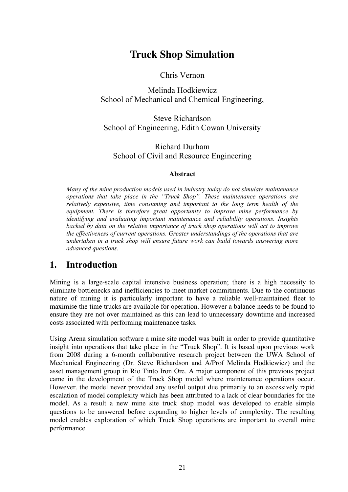# **Truck Shop Simulation**

Chris Vernon

Melinda Hodkiewicz School of Mechanical and Chemical Engineering,

Steve Richardson School of Engineering, Edith Cowan University

Richard Durham School of Civil and Resource Engineering

#### **Abstract**

*Many of the mine production models used in industry today do not simulate maintenance operations that take place in the "Truck Shop". These maintenance operations are relatively expensive, time consuming and important to the long term health of the equipment. There is therefore great opportunity to improve mine performance by identifying and evaluating important maintenance and reliability operations. Insights backed by data on the relative importance of truck shop operations will act to improve the effectiveness of current operations. Greater understandings of the operations that are undertaken in a truck shop will ensure future work can build towards answering more advanced questions.* 

## **1. Introduction**

Mining is a large-scale capital intensive business operation; there is a high necessity to eliminate bottlenecks and inefficiencies to meet market commitments. Due to the continuous nature of mining it is particularly important to have a reliable well-maintained fleet to maximise the time trucks are available for operation. However a balance needs to be found to ensure they are not over maintained as this can lead to unnecessary downtime and increased costs associated with performing maintenance tasks.

Using Arena simulation software a mine site model was built in order to provide quantitative insight into operations that take place in the "Truck Shop". It is based upon previous work from 2008 during a 6-month collaborative research project between the UWA School of Mechanical Engineering (Dr. Steve Richardson and A/Prof Melinda Hodkiewicz) and the asset management group in Rio Tinto Iron Ore. A major component of this previous project came in the development of the Truck Shop model where maintenance operations occur. However, the model never provided any useful output due primarily to an excessively rapid escalation of model complexity which has been attributed to a lack of clear boundaries for the model. As a result a new mine site truck shop model was developed to enable simple questions to be answered before expanding to higher levels of complexity. The resulting model enables exploration of which Truck Shop operations are important to overall mine performance.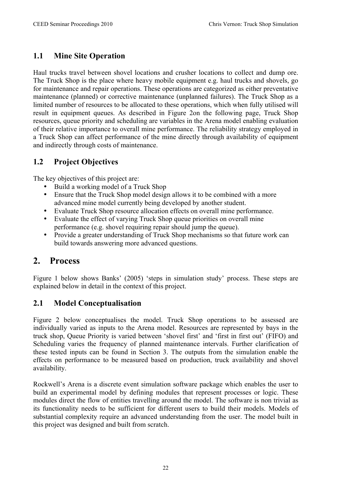## **1.1 Mine Site Operation**

Haul trucks travel between shovel locations and crusher locations to collect and dump ore. The Truck Shop is the place where heavy mobile equipment e.g. haul trucks and shovels, go for maintenance and repair operations. These operations are categorized as either preventative maintenance (planned) or corrective maintenance (unplanned failures). The Truck Shop as a limited number of resources to be allocated to these operations, which when fully utilised will result in equipment queues. As described in Figure 2on the following page, Truck Shop resources, queue priority and scheduling are variables in the Arena model enabling evaluation of their relative importance to overall mine performance. The reliability strategy employed in a Truck Shop can affect performance of the mine directly through availability of equipment and indirectly through costs of maintenance.

## **1.2 Project Objectives**

The key objectives of this project are:

- Build a working model of a Truck Shop
- Ensure that the Truck Shop model design allows it to be combined with a more advanced mine model currently being developed by another student.
- Evaluate Truck Shop resource allocation effects on overall mine performance.
- Evaluate the effect of varying Truck Shop queue priorities on overall mine performance (e.g. shovel requiring repair should jump the queue).
- Provide a greater understanding of Truck Shop mechanisms so that future work can build towards answering more advanced questions.

# **2. Process**

Figure 1 below shows Banks' (2005) 'steps in simulation study' process. These steps are explained below in detail in the context of this project.

## **2.1 Model Conceptualisation**

Figure 2 below conceptualises the model. Truck Shop operations to be assessed are individually varied as inputs to the Arena model. Resources are represented by bays in the truck shop, Queue Priority is varied between 'shovel first' and 'first in first out' (FIFO) and Scheduling varies the frequency of planned maintenance intervals. Further clarification of these tested inputs can be found in Section 3. The outputs from the simulation enable the effects on performance to be measured based on production, truck availability and shovel availability.

Rockwell's Arena is a discrete event simulation software package which enables the user to build an experimental model by defining modules that represent processes or logic. These modules direct the flow of entities travelling around the model. The software is non trivial as its functionality needs to be sufficient for different users to build their models. Models of substantial complexity require an advanced understanding from the user. The model built in this project was designed and built from scratch.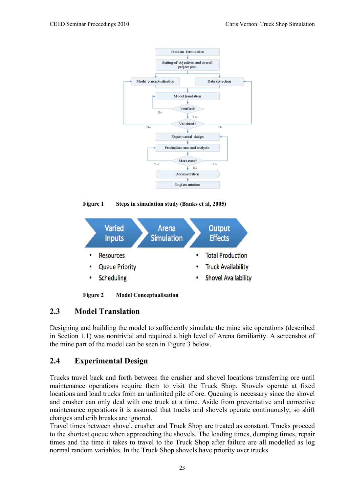

**Figure 1 Steps in simulation study (Banks et al, 2005)**



**Figure 2 Model Conceptualisation**

## **2.3 Model Translation**

Designing and building the model to sufficiently simulate the mine site operations (described in Section 1.1) was nontrivial and required a high level of Arena familiarity. A screenshot of the mine part of the model can be seen in Figure 3 below.

## **2.4 Experimental Design**

Trucks travel back and forth between the crusher and shovel locations transferring ore until maintenance operations require them to visit the Truck Shop. Shovels operate at fixed locations and load trucks from an unlimited pile of ore. Queuing is necessary since the shovel and crusher can only deal with one truck at a time. Aside from preventative and corrective maintenance operations it is assumed that trucks and shovels operate continuously, so shift changes and crib breaks are ignored.

Travel times between shovel, crusher and Truck Shop are treated as constant. Trucks proceed to the shortest queue when approaching the shovels. The loading times, dumping times, repair times and the time it takes to travel to the Truck Shop after failure are all modelled as log normal random variables. In the Truck Shop shovels have priority over trucks.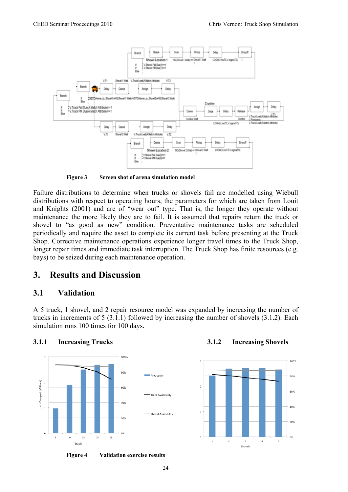

**Figure 3 Screen shot of arena simulation model**

Failure distributions to determine when trucks or shovels fail are modelled using Wiebull distributions with respect to operating hours, the parameters for which are taken from Louit and Knights (2001) and are of "wear out" type. That is, the longer they operate without maintenance the more likely they are to fail. It is assumed that repairs return the truck or shovel to "as good as new" condition. Preventative maintenance tasks are scheduled periodically and require the asset to complete its current task before presenting at the Truck Shop. Corrective maintenance operations experience longer travel times to the Truck Shop, longer repair times and immediate task interruption. The Truck Shop has finite resources (e.g. bays) to be seized during each maintenance operation.

## **3. Results and Discussion**

#### **3.1 Validation**

A 5 truck, 1 shovel, and 2 repair resource model was expanded by increasing the number of trucks in increments of 5 (3.1.1) followed by increasing the number of shovels (3.1.2). Each simulation runs 100 times for 100 days.



 **Figure 4 Validation exercise results**

**3.1.1 Increasing Trucks 3.1.2 Increasing Shovels**

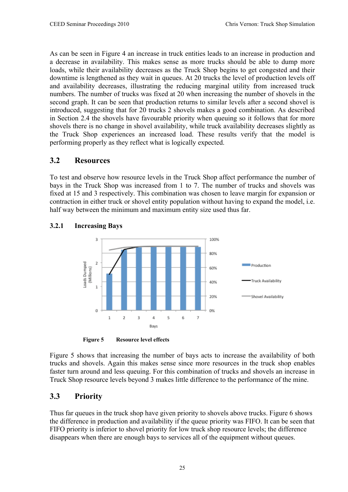As can be seen in Figure 4 an increase in truck entities leads to an increase in production and a decrease in availability. This makes sense as more trucks should be able to dump more loads, while their availability decreases as the Truck Shop begins to get congested and their downtime is lengthened as they wait in queues. At 20 trucks the level of production levels off and availability decreases, illustrating the reducing marginal utility from increased truck numbers. The number of trucks was fixed at 20 when increasing the number of shovels in the second graph. It can be seen that production returns to similar levels after a second shovel is introduced, suggesting that for 20 trucks 2 shovels makes a good combination. As described in Section 2.4 the shovels have favourable priority when queuing so it follows that for more shovels there is no change in shovel availability, while truck availability decreases slightly as the Truck Shop experiences an increased load. These results verify that the model is performing properly as they reflect what is logically expected.

## **3.2 Resources**

To test and observe how resource levels in the Truck Shop affect performance the number of bays in the Truck Shop was increased from 1 to 7. The number of trucks and shovels was fixed at 15 and 3 respectively. This combination was chosen to leave margin for expansion or contraction in either truck or shovel entity population without having to expand the model, i.e. half way between the minimum and maximum entity size used thus far.



#### **3.2.1 Increasing Bays**

**Figure 5 Resource level effects**

Figure 5 shows that increasing the number of bays acts to increase the availability of both trucks and shovels. Again this makes sense since more resources in the truck shop enables faster turn around and less queuing. For this combination of trucks and shovels an increase in Truck Shop resource levels beyond 3 makes little difference to the performance of the mine.

## **3.3 Priority**

Thus far queues in the truck shop have given priority to shovels above trucks. Figure 6 shows the difference in production and availability if the queue priority was FIFO. It can be seen that FIFO priority is inferior to shovel priority for low truck shop resource levels; the difference disappears when there are enough bays to services all of the equipment without queues.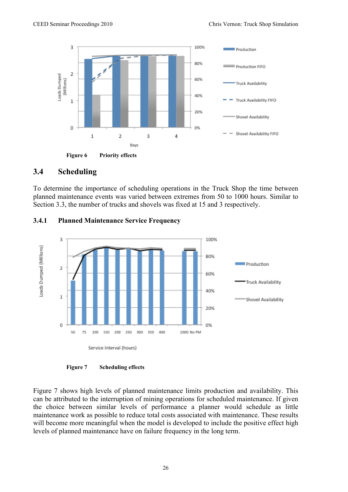

### **3.4 Scheduling**

To determine the importance of scheduling operations in the Truck Shop the time between planned maintenance events was varied between extremes from 50 to 1000 hours. Similar to Section 3.3, the number of trucks and shovels was fixed at 15 and 3 respectively.



#### **3.4.1 Planned Maintenance Service Frequency**

**Figure 7 Scheduling effects**

Figure 7 shows high levels of planned maintenance limits production and availability. This can be attributed to the interruption of mining operations for scheduled maintenance. If given the choice between similar levels of performance a planner would schedule as little maintenance work as possible to reduce total costs associated with maintenance. These results will become more meaningful when the model is developed to include the positive effect high levels of planned maintenance have on failure frequency in the long term.